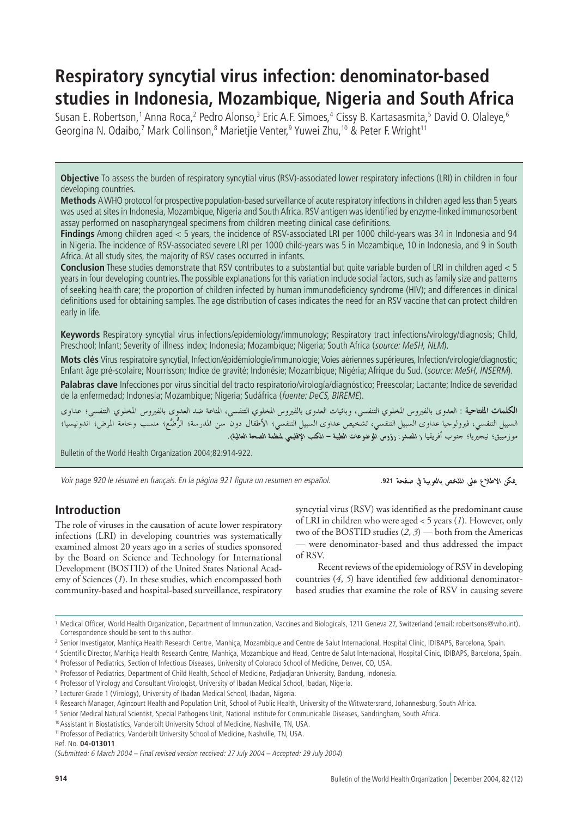# **Respiratory syncytial virus infection: denominator-based studies in Indonesia, Mozambique, Nigeria and South Africa**

Susan E. Robertson, 1 Anna Roca, 2 Pedro Alonso, 3 Eric A.F. Simoes, 4 Cissy B. Kartasasmita, 5 David O. Olaleye, 6 Georgina N. Odaibo,<sup>7</sup> Mark Collinson,<sup>8</sup> Marietjie Venter,<sup>9</sup> Yuwei Zhu,<sup>10</sup> & Peter F. Wright<sup>11</sup>

**Objective** To assess the burden of respiratory syncytial virus (RSV)-associated lower respiratory infections (LRI) in children in four developing countries.

**Methods** A WHO protocol for prospective population-based surveillance of acute respiratory infections in children aged less than 5 years was used at sites in Indonesia, Mozambique, Nigeria and South Africa. RSV antigen was identified by enzyme-linked immunosorbent assay performed on nasopharyngeal specimens from children meeting clinical case definitions.

**Findings** Among children aged < 5 years, the incidence of RSV-associated LRI per 1000 child-years was 34 in Indonesia and 94 in Nigeria. The incidence of RSV-associated severe LRI per 1000 child-years was 5 in Mozambique, 10 in Indonesia, and 9 in South Africa. At all study sites, the majority of RSV cases occurred in infants.

**Conclusion** These studies demonstrate that RSV contributes to a substantial but quite variable burden of LRI in children aged < 5 years in four developing countries. The possible explanations for this variation include social factors, such as family size and patterns of seeking health care; the proportion of children infected by human immunodeficiency syndrome (HIV); and differences in clinical definitions used for obtaining samples. The age distribution of cases indicates the need for an RSV vaccine that can protect children early in life.

**Keywords** Respiratory syncytial virus infections/epidemiology/immunology; Respiratory tract infections/virology/diagnosis; Child, Preschool; Infant; Severity of illness index; Indonesia; Mozambique; Nigeria; South Africa (source: MeSH, NLM).

**Mots clés** Virus respiratoire syncytial, Infection/épidémiologie/immunologie; Voies aériennes supérieures, Infection/virologie/diagnostic; Enfant âge pré-scolaire; Nourrisson; Indice de gravité; Indonésie; Mozambique; Nigéria; Afrique du Sud. (source: MeSH, INSERM).

**Palabras clave** Infecciones por virus sincitial del tracto respiratorio/virología/diagnóstico; Preescolar; Lactante; Indice de severidad de la enfermedad; Indonesia; Mozambique; Nigeria; Sudáfrica (fuente: DeCS, BIREME).

**الكلمات المفتاحية** : العدوى بالفيروس المخلوى التنفسي، وبائيات العدوى بالفيروس المخلوى التنفسي، المناعة ضد العدوى بالفيروس المخلوى التنفسي؛ عداوى السبيل التنفسي، فيرولوجيا عداوي السبيل التنفسي، تشخيص عداوي السبيل التنفسي؛ الأطفال دون سن المدرسة؛ الرُضَع؛ منسب وحامة المرض؛ اندونيسيا؛ موزمبيق؛ نيجيّريا؛ جنوب أفريقيا (المصدر: رؤوس الوضوعات الطبية – المكتب الإقليمي لمنظمة الصحة العالمية).

Bulletin of the World Health Organization 2004;82:914-922.

Voir page 920 le résumé en français. En la página 921 figura un resumen en español.

يمكن الاطلاع على الملخص بالعربية في صفحة 921.

# **Introduction**

The role of viruses in the causation of acute lower respiratory infections (LRI) in developing countries was systematically examined almost 20 years ago in a series of studies sponsored by the Board on Science and Technology for International Development (BOSTID) of the United States National Academy of Sciences (*1*). In these studies, which encompassed both community-based and hospital-based surveillance, respiratory syncytial virus (RSV) was identified as the predominant cause of LRI in children who were aged < 5 years (*1*). However, only two of the BOSTID studies (*2*, *3*) — both from the Americas — were denominator-based and thus addressed the impact of RSV.

Recent reviews of the epidemiology of RSV in developing countries (*4*, *5*) have identified few additional denominatorbased studies that examine the role of RSV in causing severe

1 Medical Officer, World Health Organization, Department of Immunization, Vaccines and Biologicals, 1211 Geneva 27, Switzerland (email: robertsons@who.int). Correspondence should be sent to this author.

<sup>2</sup> Senior Investigator, Manhiça Health Research Centre, Manhiça, Mozambique and Centre de Salut Internacional, Hospital Clinic, IDIBAPS, Barcelona, Spain.

<sup>3</sup> Scientific Director, Manhiça Health Research Centre, Manhiça, Mozambique and Head, Centre de Salut Internacional, Hospital Clinic, IDIBAPS, Barcelona, Spain. 4 Professor of Pediatrics, Section of Infectious Diseases, University of Colorado School of Medicine, Denver, CO, USA.

<sup>5</sup> Professor of Pediatrics, Department of Child Health, School of Medicine, Padjadjaran University, Bandung, Indonesia.

<sup>6</sup> Professor of Virology and Consultant Virologist, University of Ibadan Medical School, Ibadan, Nigeria.

<sup>7</sup> Lecturer Grade 1 (Virology), University of Ibadan Medical School, Ibadan, Nigeria.

 $^{\rm 8}$  Research Manager, Agincourt Health and Population Unit, School of Public Health, University of the Witwatersrand, Johannesburg, South Africa.

<sup>9</sup> Senior Medical Natural Scientist, Special Pathogens Unit, National Institute for Communicable Diseases, Sandringham, South Africa.

<sup>&</sup>lt;sup>10</sup> Assistant in Biostatistics, Vanderbilt University School of Medicine, Nashville, TN, USA.

<sup>&</sup>lt;sup>11</sup> Professor of Pediatrics, Vanderbilt University School of Medicine, Nashville, TN, USA.

Ref. No. **04-013011**

<sup>(</sup>Submitted: 6 March 2004 – Final revised version received: 27 July 2004 – Accepted: 29 July 2004)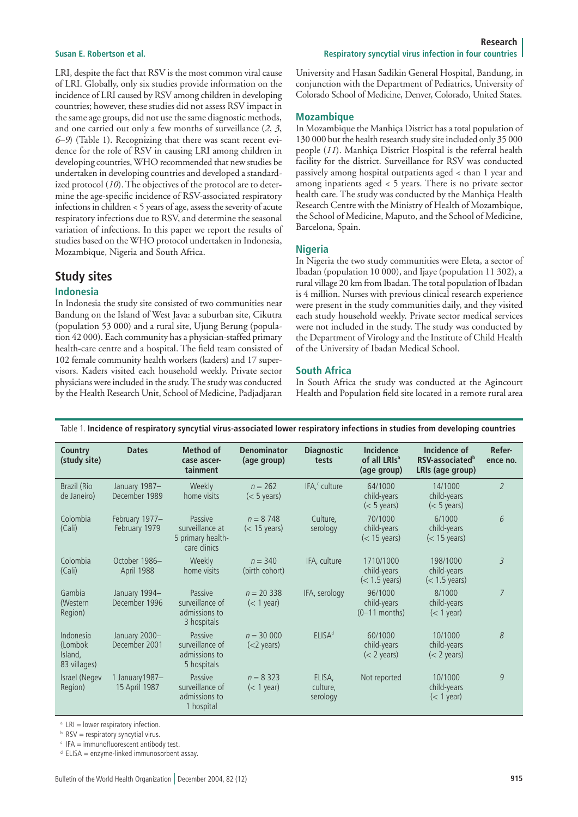LRI, despite the fact that RSV is the most common viral cause of LRI. Globally, only six studies provide information on the incidence of LRI caused by RSV among children in developing countries; however, these studies did not assess RSV impact in the same age groups, did not use the same diagnostic methods, and one carried out only a few months of surveillance (*2*, *3*, *6–9*) (Table 1). Recognizing that there was scant recent evidence for the role of RSV in causing LRI among children in developing countries, WHO recommended that new studies be undertaken in developing countries and developed a standardized protocol (*10*). The objectives of the protocol are to determine the age-specific incidence of RSV-associated respiratory infections in children < 5 years of age, assess the severity of acute respiratory infections due to RSV, and determine the seasonal variation of infections. In this paper we report the results of studies based on the WHO protocol undertaken in Indonesia, Mozambique, Nigeria and South Africa.

# **Study sites**

# **Indonesia**

In Indonesia the study site consisted of two communities near Bandung on the Island of West Java: a suburban site, Cikutra (population 53 000) and a rural site, Ujung Berung (population 42 000). Each community has a physician-staffed primary health-care centre and a hospital. The field team consisted of 102 female community health workers (kaders) and 17 supervisors. Kaders visited each household weekly. Private sector physicians were included in the study. The study was conducted by the Health Research Unit, School of Medicine, Padjadjaran University and Hasan Sadikin General Hospital, Bandung, in conjunction with the Department of Pediatrics, University of Colorado School of Medicine, Denver, Colorado, United States.

### **Mozambique**

In Mozambique the Manhiça District has a total population of 130 000 but the health research study site included only 35 000 people (*11*). Manhiça District Hospital is the referral health facility for the district. Surveillance for RSV was conducted passively among hospital outpatients aged < than 1 year and among inpatients aged < 5 years. There is no private sector health care. The study was conducted by the Manhiça Health Research Centre with the Ministry of Health of Mozambique, the School of Medicine, Maputo, and the School of Medicine, Barcelona, Spain.

# **Nigeria**

In Nigeria the two study communities were Eleta, a sector of Ibadan (population 10 000), and Ijaye (population 11 302), a rural village 20 km from Ibadan. The total population of Ibadan is 4 million. Nurses with previous clinical research experience were present in the study communities daily, and they visited each study household weekly. Private sector medical services were not included in the study. The study was conducted by the Department of Virology and the Institute of Child Health of the University of Ibadan Medical School.

# **South Africa**

In South Africa the study was conducted at the Agincourt Health and Population field site located in a remote rural area

| Country<br>(study site)                         | <b>Dates</b>                     | Method of<br>case ascer-<br>tainment                            | <b>Denominator</b><br>(age group) | <b>Diagnostic</b><br>tests     | <b>Incidence</b><br>of all LRIs <sup>a</sup><br>(age group) | Incidence of<br>RSV-associated <sup>b</sup><br>LRIs (age group) | Refer-<br>ence no. |
|-------------------------------------------------|----------------------------------|-----------------------------------------------------------------|-----------------------------------|--------------------------------|-------------------------------------------------------------|-----------------------------------------------------------------|--------------------|
| Brazil (Rio<br>de Janeiro)                      | January 1987-<br>December 1989   | Weekly<br>home visits                                           | $n = 262$<br>$(< 5$ years)        | IFA, <sup>c</sup> culture      | 64/1000<br>child-years<br>$(< 5$ years)                     | 14/1000<br>child-years<br>$(< 5$ years)                         | $\overline{2}$     |
| Colombia<br>(Cali)                              | February 1977-<br>February 1979  | Passive<br>surveillance at<br>5 primary health-<br>care clinics | $n = 8748$<br>$(< 15$ years)      | Culture.<br>serology           | 70/1000<br>child-years<br>$(< 15$ years)                    | 6/1000<br>child-years<br>$(< 15$ years)                         | 6                  |
| Colombia<br>(Cali)                              | October 1986-<br>April 1988      | Weekly<br>home visits                                           | $n = 340$<br>(birth cohort)       | IFA, culture                   | 1710/1000<br>child-years<br>$(< 1.5$ years)                 | 198/1000<br>child-years<br>$(< 1.5$ years)                      | 3                  |
| Gambia<br>(Western<br>Region)                   | January 1994-<br>December 1996   | Passive<br>surveillance of<br>admissions to<br>3 hospitals      | $n = 20338$<br>$(< 1$ year)       | IFA, serology                  | 96/1000<br>child-years<br>$(0-11$ months)                   | 8/1000<br>child-years<br>$(< 1$ year)                           | $\overline{7}$     |
| Indonesia<br>(Lombok<br>Island,<br>83 villages) | January 2000-<br>December 2001   | Passive<br>surveillance of<br>admissions to<br>5 hospitals      | $n = 30000$<br>$(<$ 2 years)      | ELISA <sup>d</sup>             | 60/1000<br>child-years<br>$(< 2$ years)                     | 10/1000<br>child-years<br>$(< 2$ years)                         | 8                  |
| Israel (Negev<br>Region)                        | 1 January 1987-<br>15 April 1987 | Passive<br>surveillance of<br>admissions to<br>1 hospital       | $n = 8323$<br>$(< 1$ year)        | ELISA.<br>culture.<br>serology | Not reported                                                | 10/1000<br>child-years<br>$(< 1$ year)                          | 9                  |

Table 1. **Incidence of respiratory syncytial virus-associated lower respiratory infections in studies from developing countries**

<sup>a</sup> LRI = lower respiratory infection.

 $b$  RSV = respiratory syncytial virus.

 $\epsilon$  IFA = immunofluorescent antibody test.

<sup>d</sup> ELISA = enzyme-linked immunosorbent assay.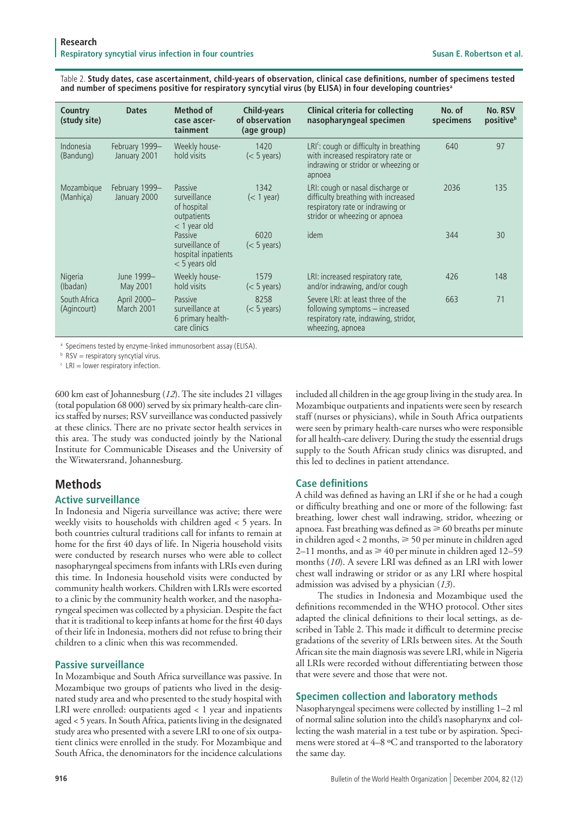Table 2. **Study dates, case ascertainment, child-years of observation, clinical case definitions, number of specimens tested and number of specimens positive for respiratory syncytial virus (by ELISA) in four developing countriesa**

| Country<br>(study site)     | <b>Dates</b>                   | Method of<br>case ascer-<br>tainment                                    | Child-years<br>of observation<br>(age group) | <b>Clinical criteria for collecting</b><br>nasopharyngeal specimen                                                                           | No. of<br>specimens | <b>No. RSV</b><br>positive <sup>b</sup> |
|-----------------------------|--------------------------------|-------------------------------------------------------------------------|----------------------------------------------|----------------------------------------------------------------------------------------------------------------------------------------------|---------------------|-----------------------------------------|
| Indonesia<br>(Bandung)      | February 1999-<br>January 2001 | Weekly house-<br>hold visits                                            | 1420<br>$(< 5$ years)                        | $LRIc$ : cough or difficulty in breathing<br>with increased respiratory rate or<br>indrawing or stridor or wheezing or<br>apnoea             | 640                 | 97                                      |
| Mozambique<br>(Manhiça)     | February 1999-<br>January 2000 | Passive<br>surveillance<br>of hospital<br>outpatients<br>$<$ 1 year old | 1342<br>$(< 1$ year)                         | LRI: cough or nasal discharge or<br>difficulty breathing with increased<br>respiratory rate or indrawing or<br>stridor or wheezing or apnoea | 2036                | 135                                     |
|                             |                                | Passive<br>surveillance of<br>hospital inpatients<br>$<$ 5 years old    | 6020<br>$(< 5$ years)                        | idem                                                                                                                                         | 344                 | 30                                      |
| Nigeria<br>(Ibadan)         | June 1999-<br>May 2001         | Weekly house-<br>hold visits                                            | 1579<br>$(< 5$ years)                        | LRI: increased respiratory rate,<br>and/or indrawing, and/or cough                                                                           | 426                 | 148                                     |
| South Africa<br>(Agincourt) | April 2000-<br>March 2001      | Passive<br>surveillance at<br>6 primary health-<br>care clinics         | 8258<br>$(< 5$ years)                        | Severe LRI: at least three of the<br>following symptoms – increased<br>respiratory rate, indrawing, stridor,<br>wheezing, apnoea             | 663                 | 71                                      |

a Specimens tested by enzyme-linked immunosorbent assay (ELISA).

 $b$  RSV = respiratory syncytial virus.

 $c$  LRI = lower respiratory infection.

600 km east of Johannesburg (*12*). The site includes 21 villages (total population 68 000) served by six primary health-care clinics staffed by nurses; RSV surveillance was conducted passively at these clinics. There are no private sector health services in this area. The study was conducted jointly by the National Institute for Communicable Diseases and the University of the Witwatersrand, Johannesburg.

# **Methods**

# **Active surveillance**

In Indonesia and Nigeria surveillance was active; there were weekly visits to households with children aged < 5 years. In both countries cultural traditions call for infants to remain at home for the first 40 days of life. In Nigeria household visits were conducted by research nurses who were able to collect nasopharyngeal specimens from infants with LRIs even during this time. In Indonesia household visits were conducted by community health workers. Children with LRIs were escorted to a clinic by the community health worker, and the nasopharyngeal specimen was collected by a physician. Despite the fact that it is traditional to keep infants at home for the first 40 days of their life in Indonesia, mothers did not refuse to bring their children to a clinic when this was recommended.

# **Passive surveillance**

In Mozambique and South Africa surveillance was passive. In Mozambique two groups of patients who lived in the designated study area and who presented to the study hospital with LRI were enrolled: outpatients aged < 1 year and inpatients aged < 5 years. In South Africa, patients living in the designated study area who presented with a severe LRI to one of six outpatient clinics were enrolled in the study. For Mozambique and South Africa, the denominators for the incidence calculations

included all children in the age group living in the study area. In Mozambique outpatients and inpatients were seen by research staff (nurses or physicians), while in South Africa outpatients were seen by primary health-care nurses who were responsible for all health-care delivery. During the study the essential drugs supply to the South African study clinics was disrupted, and this led to declines in patient attendance.

# **Case definitions**

A child was defined as having an LRI if she or he had a cough or difficulty breathing and one or more of the following: fast breathing, lower chest wall indrawing, stridor, wheezing or apnoea. Fast breathing was defined as  $\geq 60$  breaths per minute in children aged < 2 months,  $\geq$  50 per minute in children aged 2–11 months, and as  $\geq 40$  per minute in children aged 12–59 months (*10*). A severe LRI was defined as an LRI with lower chest wall indrawing or stridor or as any LRI where hospital admission was advised by a physician (*13*).

The studies in Indonesia and Mozambique used the definitions recommended in the WHO protocol. Other sites adapted the clinical definitions to their local settings, as described in Table 2. This made it difficult to determine precise gradations of the severity of LRIs between sites. At the South African site the main diagnosis was severe LRI, while in Nigeria all LRIs were recorded without differentiating between those that were severe and those that were not.

# **Specimen collection and laboratory methods**

Nasopharyngeal specimens were collected by instilling 1–2 ml of normal saline solution into the child's nasopharynx and collecting the wash material in a test tube or by aspiration. Specimens were stored at 4–8 ºC and transported to the laboratory the same day.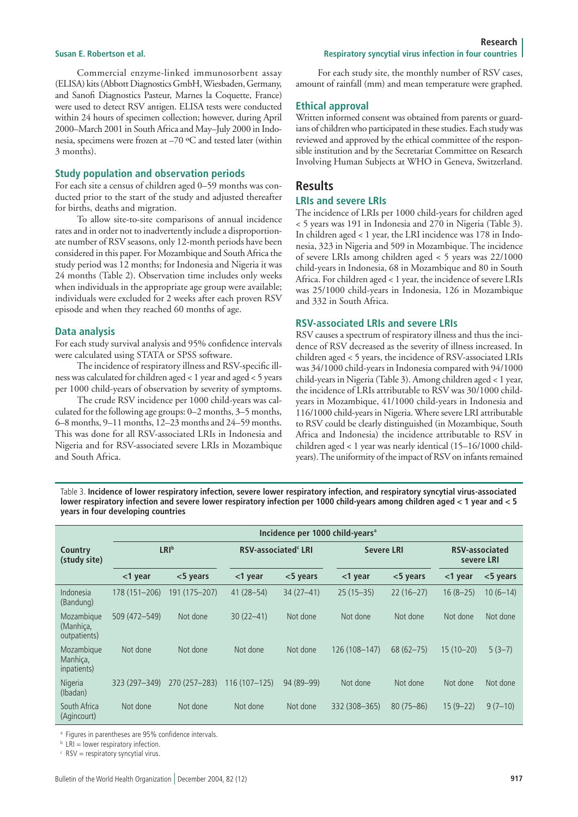Commercial enzyme-linked immunosorbent assay (ELISA) kits (Abbott Diagnostics GmbH, Wiesbaden, Germany, and Sanofi Diagnostics Pasteur, Marnes la Coquette, France) were used to detect RSV antigen. ELISA tests were conducted within 24 hours of specimen collection; however, during April 2000–March 2001 in South Africa and May–July 2000 in Indonesia, specimens were frozen at –70 ºC and tested later (within 3 months).

#### **Study population and observation periods**

For each site a census of children aged 0–59 months was conducted prior to the start of the study and adjusted thereafter for births, deaths and migration.

To allow site-to-site comparisons of annual incidence rates and in order not to inadvertently include a disproportionate number of RSV seasons, only 12-month periods have been considered in this paper. For Mozambique and South Africa the study period was 12 months; for Indonesia and Nigeria it was 24 months (Table 2). Observation time includes only weeks when individuals in the appropriate age group were available; individuals were excluded for 2 weeks after each proven RSV episode and when they reached 60 months of age.

#### **Data analysis**

For each study survival analysis and 95% confidence intervals were calculated using STATA or SPSS software.

The incidence of respiratory illness and RSV-specific illness was calculated for children aged < 1 year and aged < 5 years per 1000 child-years of observation by severity of symptoms.

The crude RSV incidence per 1000 child-years was calculated for the following age groups: 0–2 months, 3–5 months, 6–8 months, 9–11 months, 12–23 months and 24–59 months. This was done for all RSV-associated LRIs in Indonesia and Nigeria and for RSV-associated severe LRIs in Mozambique and South Africa.

For each study site, the monthly number of RSV cases, amount of rainfall (mm) and mean temperature were graphed.

#### **Ethical approval**

Written informed consent was obtained from parents or guardians of children who participated in these studies. Each study was reviewed and approved by the ethical committee of the responsible institution and by the Secretariat Committee on Research Involving Human Subjects at WHO in Geneva, Switzerland.

## **Results**

#### **LRIs and severe LRIs**

The incidence of LRIs per 1000 child-years for children aged < 5 years was 191 in Indonesia and 270 in Nigeria (Table 3). In children aged < 1 year, the LRI incidence was 178 in Indonesia, 323 in Nigeria and 509 in Mozambique. The incidence of severe LRIs among children aged < 5 years was 22/1000 child-years in Indonesia, 68 in Mozambique and 80 in South Africa. For children aged < 1 year, the incidence of severe LRIs was 25/1000 child-years in Indonesia, 126 in Mozambique and 332 in South Africa.

#### **RSV-associated LRIs and severe LRIs**

RSV causes a spectrum of respiratory illness and thus the incidence of RSV decreased as the severity of illness increased. In children aged < 5 years, the incidence of RSV-associated LRIs was 34/1000 child-years in Indonesia compared with 94/1000 child-years in Nigeria (Table 3). Among children aged < 1 year, the incidence of LRIs attributable to RSV was 30/1000 childyears in Mozambique, 41/1000 child-years in Indonesia and 116/1000 child-years in Nigeria. Where severe LRI attributable to RSV could be clearly distinguished (in Mozambique, South Africa and Indonesia) the incidence attributable to RSV in children aged < 1 year was nearly identical (15–16/1000 childyears). The uniformity of the impact of RSV on infants remained

Table 3. **Incidence of lower respiratory infection, severe lower respiratory infection, and respiratory syncytial virus-associated lower respiratory infection and severe lower respiratory infection per 1000 child-years among children aged < 1 year and < 5 years in four developing countries**

|                                         | Incidence per 1000 child-years <sup>a</sup> |                 |                                 |             |                   |               |                              |            |
|-----------------------------------------|---------------------------------------------|-----------------|---------------------------------|-------------|-------------------|---------------|------------------------------|------------|
| Country<br>(study site)                 | LRI <sup>b</sup>                            |                 | RSV-associated <sup>c</sup> LRI |             | <b>Severe LRI</b> |               | RSV-associated<br>severe LRI |            |
|                                         | $<$ 1 year                                  | $<$ 5 years     | <1 year                         | <5 years    | <1 year           | $<$ 5 years   | <1 year                      | <5 years   |
| Indonesia<br>(Bandung)                  | 178 (151-206)                               | 191 (175 - 207) | $41(28 - 54)$                   | $34(27-41)$ | $25(15-35)$       | $22(16-27)$   | $16(8-25)$                   | $10(6-14)$ |
| Mozambique<br>(Manhica,<br>outpatients) | 509 (472-549)                               | Not done        | $30(22 - 41)$                   | Not done    | Not done          | Not done      | Not done                     | Not done   |
| Mozambique<br>Manhica,<br>inpatients)   | Not done                                    | Not done        | Not done                        | Not done    | 126 (108-147)     | $68(62 - 75)$ | $15(10-20)$                  | $5(3-7)$   |
| Nigeria<br>(Ibadan)                     | 323 (297-349)                               | 270 (257-283)   | 116 (107-125)                   | 94 (89-99)  | Not done          | Not done      | Not done                     | Not done   |
| South Africa<br>(Agincourt)             | Not done                                    | Not done        | Not done                        | Not done    | 332 (308-365)     | $80(75 - 86)$ | $15(9-22)$                   | $9(7-10)$  |

a Figures in parentheses are 95% confidence intervals.

 $b$  LRI = lower respiratory infection.

 $\epsilon$  RSV = respiratory syncytial virus.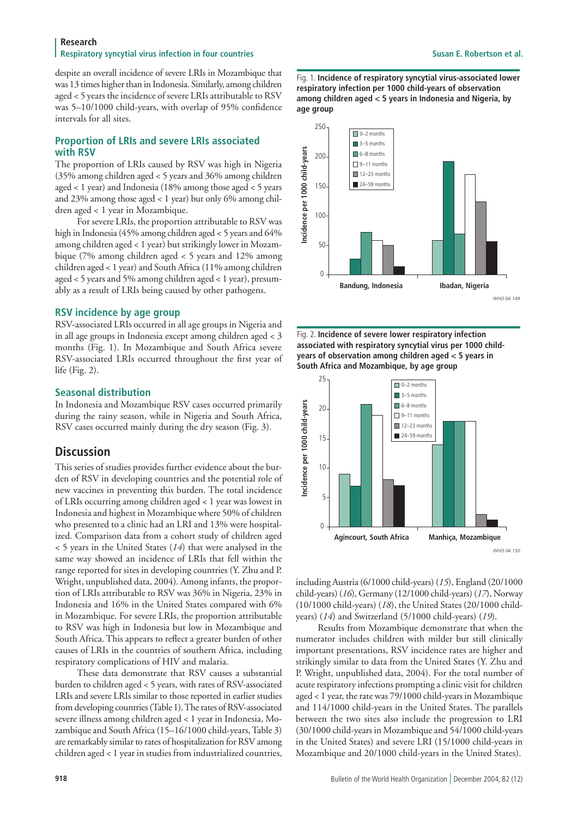#### **Research** Respiratory syncytial virus infection in four countries **Susan E. Robertson et al. Susan E. Robertson et al.**

despite an overall incidence of severe LRIs in Mozambique that was 13 times higher than in Indonesia. Similarly, among children aged < 5 years the incidence of severe LRIs attributable to RSV was 5–10/1000 child-years, with overlap of 95% confidence intervals for all sites.

# **Proportion of LRIs and severe LRIs associated with RSV**

The proportion of LRIs caused by RSV was high in Nigeria (35% among children aged < 5 years and 36% among children aged < 1 year) and Indonesia (18% among those aged < 5 years and 23% among those aged < 1 year) but only 6% among children aged < 1 year in Mozambique.

For severe LRIs, the proportion attributable to RSV was high in Indonesia (45% among children aged < 5 years and 64% among children aged < 1 year) but strikingly lower in Mozambique (7% among children aged < 5 years and 12% among children aged < 1 year) and South Africa (11% among children aged < 5 years and 5% among children aged < 1 year), presumably as a result of LRIs being caused by other pathogens.

### **RSV incidence by age group**

RSV-associated LRIs occurred in all age groups in Nigeria and in all age groups in Indonesia except among children aged < 3 months (Fig. 1). In Mozambique and South Africa severe RSV-associated LRIs occurred throughout the first year of life (Fig. 2).

### **Seasonal distribution**

In Indonesia and Mozambique RSV cases occurred primarily during the rainy season, while in Nigeria and South Africa, RSV cases occurred mainly during the dry season (Fig. 3).

# **Discussion**

This series of studies provides further evidence about the burden of RSV in developing countries and the potential role of new vaccines in preventing this burden. The total incidence of LRIs occurring among children aged < 1 year was lowest in Indonesia and highest in Mozambique where 50% of children who presented to a clinic had an LRI and 13% were hospitalized. Comparison data from a cohort study of children aged < 5 years in the United States (*14*) that were analysed in the same way showed an incidence of LRIs that fell within the range reported for sites in developing countries (Y. Zhu and P. Wright, unpublished data, 2004). Among infants, the proportion of LRIs attributable to RSV was 36% in Nigeria, 23% in Indonesia and 16% in the United States compared with 6% in Mozambique. For severe LRIs, the proportion attributable to RSV was high in Indonesia but low in Mozambique and South Africa. This appears to reflect a greater burden of other causes of LRIs in the countries of southern Africa, including respiratory complications of HIV and malaria.

These data demonstrate that RSV causes a substantial burden to children aged < 5 years, with rates of RSV-associated LRIs and severe LRIs similar to those reported in earlier studies from developing countries (Table 1). The rates of RSV-associated severe illness among children aged < 1 year in Indonesia, Mozambique and South Africa (15–16/1000 child-years, Table 3) are remarkably similar to rates of hospitalization for RSV among children aged < 1 year in studies from industrialized countries, Fig. 1. **Incidence of respiratory syncytial virus-associated lower respiratory infection per 1000 child-years of observation among children aged < 5 years in Indonesia and Nigeria, by age group**



Fig. 2. **Incidence of severe lower respiratory infection associated with respiratory syncytial virus per 1000 childyears of observation among children aged < 5 years in South Africa and Mozambique, by age group**



including Austria (6/1000 child-years) (*15*), England (20/1000 child-years) (*16*), Germany (12/1000 child-years) (*17*), Norway (10/1000 child-years) (*18*), the United States (20/1000 childyears) (*14*) and Switzerland (5/1000 child-years) (*19*).

Results from Mozambique demonstrate that when the numerator includes children with milder but still clinically important presentations, RSV incidence rates are higher and strikingly similar to data from the United States (Y. Zhu and P. Wright, unpublished data, 2004). For the total number of acute respiratory infections prompting a clinic visit for children aged < 1 year, the rate was 79/1000 child-years in Mozambique and 114/1000 child-years in the United States. The parallels between the two sites also include the progression to LRI (30/1000 child-years in Mozambique and 54/1000 child-years in the United States) and severe LRI (15/1000 child-years in Mozambique and 20/1000 child-years in the United States).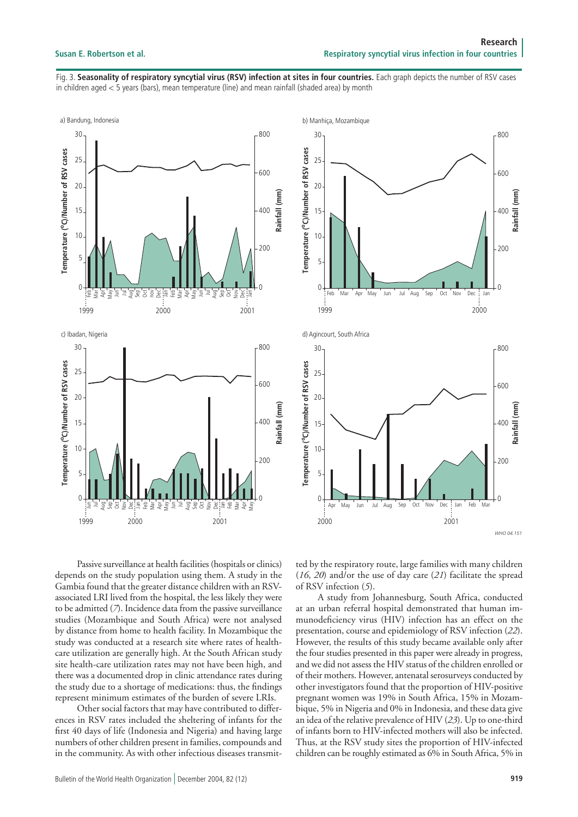Fig. 3. Seasonality of respiratory syncytial virus (RSV) infection at sites in four countries. Each graph depicts the number of RSV cases in children aged < 5 years (bars), mean temperature (line) and mean rainfall (shaded area) by month





Passive surveillance at health facilities (hospitals or clinics) depends on the study population using them. A study in the Gambia found that the greater distance children with an RSVassociated LRI lived from the hospital, the less likely they were to be admitted (*7*). Incidence data from the passive surveillance studies (Mozambique and South Africa) were not analysed by distance from home to health facility. In Mozambique the study was conducted at a research site where rates of healthcare utilization are generally high. At the South African study site health-care utilization rates may not have been high, and there was a documented drop in clinic attendance rates during the study due to a shortage of medications: thus, the findings represent minimum estimates of the burden of severe LRIs.

Other social factors that may have contributed to differences in RSV rates included the sheltering of infants for the first 40 days of life (Indonesia and Nigeria) and having large numbers of other children present in families, compounds and in the community. As with other infectious diseases transmit-

ted by the respiratory route, large families with many children (*16*, *20*) and/or the use of day care (*21*) facilitate the spread of RSV infection (*5*).

A study from Johannesburg, South Africa, conducted at an urban referral hospital demonstrated that human immunodeficiency virus (HIV) infection has an effect on the presentation, course and epidemiology of RSV infection (*22*). However, the results of this study became available only after the four studies presented in this paper were already in progress, and we did not assess the HIV status of the children enrolled or of their mothers. However, antenatal serosurveys conducted by other investigators found that the proportion of HIV-positive pregnant women was 19% in South Africa, 15% in Mozambique, 5% in Nigeria and 0% in Indonesia, and these data give an idea of the relative prevalence of HIV (*23*). Up to one-third of infants born to HIV-infected mothers will also be infected. Thus, at the RSV study sites the proportion of HIV-infected children can be roughly estimated as 6% in South Africa, 5% in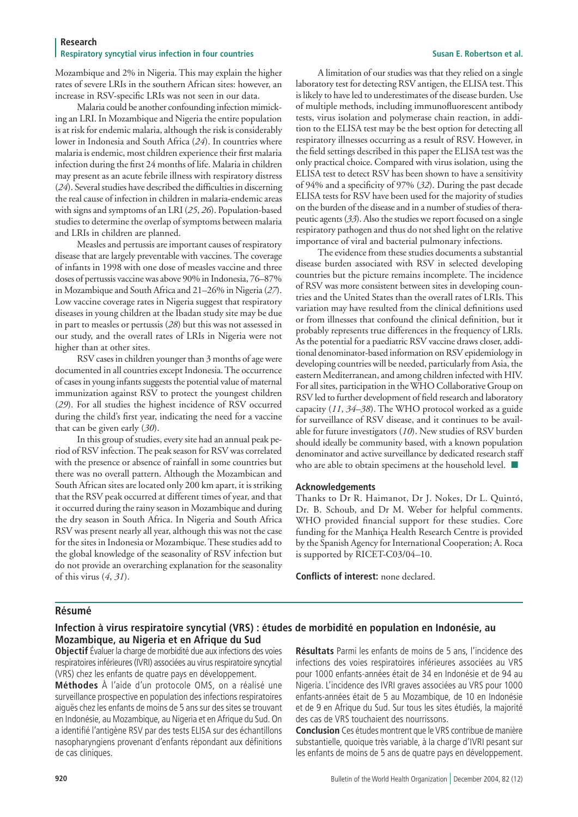#### **Research** Respiratory syncytial virus infection in four countries **Susan E. Robertson et al. Susan E. Robertson et al.**

Mozambique and 2% in Nigeria. This may explain the higher rates of severe LRIs in the southern African sites: however, an increase in RSV-specific LRIs was not seen in our data.

Malaria could be another confounding infection mimicking an LRI. In Mozambique and Nigeria the entire population is at risk for endemic malaria, although the risk is considerably lower in Indonesia and South Africa (*24*). In countries where malaria is endemic, most children experience their first malaria infection during the first 24 months of life. Malaria in children may present as an acute febrile illness with respiratory distress (*24*). Several studies have described the difficulties in discerning the real cause of infection in children in malaria-endemic areas with signs and symptoms of an LRI (*25*, *26*). Population-based studies to determine the overlap of symptoms between malaria and LRIs in children are planned.

Measles and pertussis are important causes of respiratory disease that are largely preventable with vaccines. The coverage of infants in 1998 with one dose of measles vaccine and three doses of pertussis vaccine was above 90% in Indonesia, 76–87% in Mozambique and South Africa and 21–26% in Nigeria (*27*). Low vaccine coverage rates in Nigeria suggest that respiratory diseases in young children at the Ibadan study site may be due in part to measles or pertussis (*28*) but this was not assessed in our study, and the overall rates of LRIs in Nigeria were not higher than at other sites.

RSV cases in children younger than 3 months of age were documented in all countries except Indonesia. The occurrence of cases in young infants suggests the potential value of maternal immunization against RSV to protect the youngest children (*29*). For all studies the highest incidence of RSV occurred during the child's first year, indicating the need for a vaccine that can be given early (*30*).

In this group of studies, every site had an annual peak period of RSV infection. The peak season for RSV was correlated with the presence or absence of rainfall in some countries but there was no overall pattern. Although the Mozambican and South African sites are located only 200 km apart, it is striking that the RSV peak occurred at different times of year, and that it occurred during the rainy season in Mozambique and during the dry season in South Africa. In Nigeria and South Africa RSV was present nearly all year, although this was not the case for the sites in Indonesia or Mozambique. These studies add to the global knowledge of the seasonality of RSV infection but do not provide an overarching explanation for the seasonality of this virus (*4*, *31*).

A limitation of our studies was that they relied on a single laboratory test for detecting RSV antigen, the ELISA test. This is likely to have led to underestimates of the disease burden. Use of multiple methods, including immunofluorescent antibody tests, virus isolation and polymerase chain reaction, in addition to the ELISA test may be the best option for detecting all respiratory illnesses occurring as a result of RSV. However, in the field settings described in this paper the ELISA test was the only practical choice. Compared with virus isolation, using the ELISA test to detect RSV has been shown to have a sensitivity of 94% and a specificity of 97% (*32*). During the past decade ELISA tests for RSV have been used for the majority of studies on the burden of the disease and in a number of studies of therapeutic agents (*33*). Also the studies we report focused on a single respiratory pathogen and thus do not shed light on the relative importance of viral and bacterial pulmonary infections.

The evidence from these studies documents a substantial disease burden associated with RSV in selected developing countries but the picture remains incomplete. The incidence of RSV was more consistent between sites in developing countries and the United States than the overall rates of LRIs. This variation may have resulted from the clinical definitions used or from illnesses that confound the clinical definition, but it probably represents true differences in the frequency of LRIs. As the potential for a paediatric RSV vaccine draws closer, additional denominator-based information on RSV epidemiology in developing countries will be needed, particularly from Asia, the eastern Mediterranean, and among children infected with HIV. For all sites, participation in the WHO Collaborative Group on RSV led to further development of field research and laboratory capacity (*11*, *34–38*). The WHO protocol worked as a guide for surveillance of RSV disease, and it continues to be available for future investigators (*10*). New studies of RSV burden should ideally be community based, with a known population denominator and active surveillance by dedicated research staff who are able to obtain specimens at the household level.  $\blacksquare$ 

### **Acknowledgements**

Thanks to Dr R. Haimanot, Dr J. Nokes, Dr L. Quintó, Dr. B. Schoub, and Dr M. Weber for helpful comments. WHO provided financial support for these studies. Core funding for the Manhiça Health Research Centre is provided by the Spanish Agency for International Cooperation; A. Roca is supported by RICET-C03/04–10.

**Conflicts of interest:** none declared.

# **Résumé**

# **Infection à virus respiratoire syncytial (VRS) : études de morbidité en population en Indonésie, au Mozambique, au Nigeria et en Afrique du Sud**

**Objectif** Évaluer la charge de morbidité due aux infections des voies respiratoires inférieures (IVRI) associées au virus respiratoire syncytial (VRS) chez les enfants de quatre pays en développement.

**Méthodes** À l'aide d'un protocole OMS, on a réalisé une surveillance prospective en population des infections respiratoires aiguës chez les enfants de moins de 5 ans sur des sites se trouvant en Indonésie, au Mozambique, au Nigeria et en Afrique du Sud. On a identifié l'antigène RSV par des tests ELISA sur des échantillons nasopharyngiens provenant d'enfants répondant aux définitions de cas cliniques.

**Résultats** Parmi les enfants de moins de 5 ans, l'incidence des infections des voies respiratoires inférieures associées au VRS pour 1000 enfants-années était de 34 en Indonésie et de 94 au Nigeria. L'incidence des IVRI graves associées au VRS pour 1000 enfants-années était de 5 au Mozambique, de 10 en Indonésie et de 9 en Afrique du Sud. Sur tous les sites étudiés, la majorité des cas de VRS touchaient des nourrissons.

**Conclusion** Ces études montrent que le VRS contribue de manière substantielle, quoique très variable, à la charge d'IVRI pesant sur les enfants de moins de 5 ans de quatre pays en développement.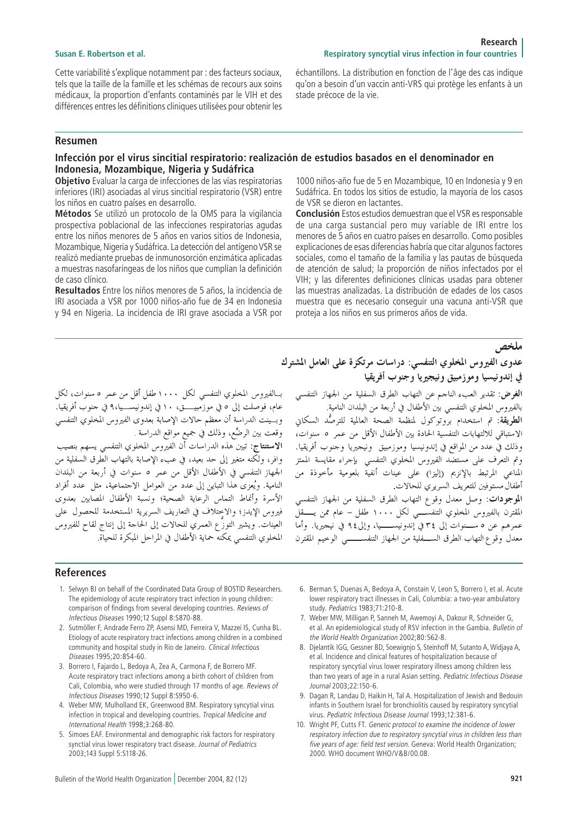Cette variabilité s'explique notamment par : des facteurs sociaux, tels que la taille de la famille et les schémas de recours aux soins médicaux, la proportion d'enfants contaminés par le VIH et des différences entres les définitions cliniques utilisées pour obtenir les échantillons. La distribution en fonction de l'âge des cas indique qu'on a besoin d'un vaccin anti-VRS qui protège les enfants à un stade précoce de la vie.

### **Resumen**

# **Infección por el virus sincitial respiratorio: realización de estudios basados en el denominador en Indonesia, Mozambique, Nigeria y Sudáfrica**

**Objetivo** Evaluar la carga de infecciones de las vías respiratorias inferiores (IRI) asociadas al virus sincitial respiratorio (VSR) entre los niños en cuatro países en desarrollo.

**Métodos** Se utilizó un protocolo de la OMS para la vigilancia prospectiva poblacional de las infecciones respiratorias agudas entre los niños menores de 5 años en varios sitios de Indonesia, Mozambique, Nigeria y Sudáfrica. La detección del antígeno VSR se realizó mediante pruebas de inmunosorción enzimática aplicadas a muestras nasofaríngeas de los niños que cumplían la definición de caso clínico.

**Resultados** Entre los niños menores de 5 años, la incidencia de IRI asociada a VSR por 1000 niños-año fue de 34 en Indonesia y 94 en Nigeria. La incidencia de IRI grave asociada a VSR por

الاستنتاج: تبين هذه الدراسات أن الفيروس المخلوي التنفسي يسهم بنصيب

وافر، ولكنه متغير إلى حد بعيد، في عبء الإصابة بالتهاب الطرق السفلية من

الجهاز التنفسي في الأطفال الأقل من عمرٍ ٥ سنواتٍ في أربعةٍ من البلدان

النامية. ويُعزىَ هذا التباين إلى عدد من العوامل الاجتماعية، مثل عدد أفراد

الأسرة وأنماط التماس الرعاية الصحية؛ ونسبة الأطفال المصابين بعدوى

فيروس الإيدز؛ والاختلاف في التعاريف السريرية المستخدمة للحصول على

العينات. ويشير التوزُّ ع العمري للحالات إلى الحاجة إلى إنتاج لقاح للفيروس

المخلوي التنفسي يمكنه حماية الأطفال في المراحل المبكرة للحياة.

1000 niños-año fue de 5 en Mozambique, 10 en Indonesia y 9 en Sudáfrica. En todos los sitios de estudio, la mayoría de los casos de VSR se dieron en lactantes.

**Conclusión** Estos estudios demuestran que el VSR es responsable de una carga sustancial pero muy variable de IRI entre los menores de 5 años en cuatro países en desarrollo. Como posibles explicaciones de esas diferencias habría que citar algunos factores sociales, como el tamaño de la familia y las pautas de búsqueda de atención de salud; la proporción de niños infectados por el VIH; y las diferentes definiciones clínicas usadas para obtener las muestras analizadas. La distribución de edades de los casos muestra que es necesario conseguir una vacuna anti-VSR que proteja a los niños en sus primeros años de vida.

ملخص

#### في إندونيسيا وموزمبيق ونيجيريا وجنوب أفريقيا بسالفيروس المخلوي التنفسي لكل ١٠٠٠ طفل أقل من عمر ٥ سنوات، لكل ا**لغوض:** تقدير العبء الناجم عن التهاب الطرق السفلية من الجهاز التنفسي عام، فوصلت إلى ٥ في موزمبيـــــق، ١٠ في إندونيســـيا،٩ في جنوب أفريقيا. بالفيروس المخلوي التنفسي بين الأطفال في أربعة من البلدان النامية وبسينت الدراسة أن معظم حالات الإصابة بعدوى الفيروس المحلوي التنفسى

وقعت بين الرضَّع، وذلك في جميع مواقع الدراسة

**الطريقة**: تم استخدام برّوتوكول لمنظمة الصحة العالمية للترصُّد السكاني الاستباقي للالتهابات التنفسية الحادة بين الأطفال الأقل من عمر ٥ سنوات، وذلك في عدد من المواقع في إندونيسيا وموزمبيق ۖ ونيحيريا وحنوب أفريقيا. وتم التعرف على مستضد الفيروس المخلوي التنفسي بإجراء مقايسة الممتز المناعي المرتبط بالإنزيم (إليزا) على عينات أنفية بلعومية مأخوذة من أطفالٌ مستوفين للتعريف السريري للحالات

عدوى الفيروس المخلوي التنفسي: دراسات مرتكزة على العامل المشترك

الموجودات: وصل معدل وقوع التهاب الطرق السفلية من الجهاز التنفسي المقترن بالفيروس المخلوي التنفسّــــى لكل ١٠٠٠ طفل – عام ممن يـــــقلّ عمرهم عن ٥ ســـنوات إلى ٣٤ في إندونيســــيا، وإلى٩٤ في نيجيريا. وأما معدل وقوع التهاب الطرق الســـفلية من الجهاز التنفســــــــى الوخيم المقترن

### **References**

- 1. Selwyn BJ on behalf of the Coordinated Data Group of BOSTID Researchers. The epidemiology of acute respiratory tract infection in young children: comparison of findings from several developing countries. Reviews of Infectious Diseases 1990;12 Suppl 8:S870-88.
- 2. Sutmöller F, Andrade Ferro ZP, Asensi MD, Ferreira V, Mazzei IS, Cunha BL. Etiology of acute respiratory tract infections among children in a combined community and hospital study in Rio de Janeiro. Clinical Infectious Diseases 1995;20:854-60.
- 3. Borrero I, Fajardo L, Bedoya A, Zea A, Carmona F, de Borrero MF. Acute respiratory tract infections among a birth cohort of children from Cali, Colombia, who were studied through 17 months of age. Reviews of Infectious Diseases 1990;12 Suppl 8:S950-6.
- 4. Weber MW, Mulholland EK, Greenwood BM. Respiratory syncytial virus infection in tropical and developing countries. Tropical Medicine and International Health 1998;3:268-80.
- 5. Simoes EAF. Environmental and demographic risk factors for respiratory synctial virus lower respiratory tract disease. Journal of Pediatrics 2003;143 Suppl 5:S118-26.
- 6. Berman S, Duenas A, Bedoya A, Constain V, Leon S, Borrero I, et al. Acute lower respiratory tract illnesses in Cali, Columbia: a two-year ambulatory study. Pediatrics 1983;71:210-8.
- 7. Weber MW, Milligan P, Sanneh M, Awemoyi A, Dakour R, Schneider G, et al. An epidemiological study of RSV infection in the Gambia. Bulletin of the World Health Organization 2002;80:562-8.
- 8. Djelantik IGG, Gessner BD, Soewignjo S, Steinhoff M, Sutanto A, Widjaya A, et al. Incidence and clinical features of hospitalization because of respiratory syncytial virus lower respiratory illness among children less than two years of age in a rural Asian setting. Pediatric Infectious Disease Journal 2003;22:150-6.
- 9. Dagan R, Landau D, Haikin H, Tal A. Hospitalization of Jewish and Bedouin infants in Southern Israel for bronchiolitis caused by respiratory syncytial virus. Pediatric Infectious Disease Journal 1993;12:381-6.
- 10. Wright PF, Cutts FT. Generic protocol to examine the incidence of lower respiratory infection due to respiratory syncytial virus in children less than five years of age: field test version. Geneva: World Health Organization; 2000. WHO document WHO/V&B/00.08.